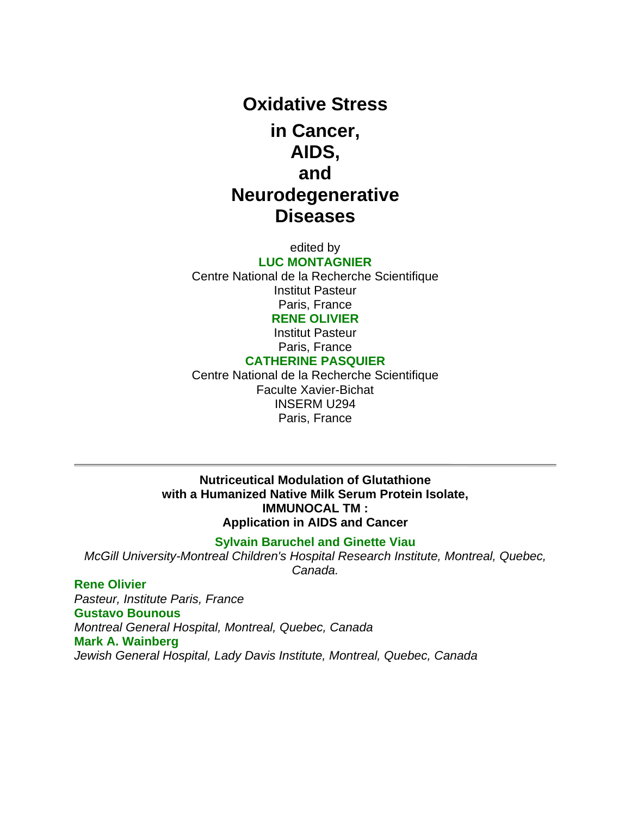# **Oxidative Stress in Cancer, AIDS, and Neurodegenerative Diseases**

edited by

**LUC MONTAGNIER** Centre National de la Recherche Scientifique Institut Pasteur Paris, France **RENE OLIVIER**

> Institut Pasteur Paris, France

#### **CATHERINE PASQUIER**

Centre National de la Recherche Scientifique Faculte Xavier-Bichat INSERM U294 Paris, France

#### **Nutriceutical Modulation of Glutathione with a Humanized Native Milk Serum Protein Isolate, IMMUNOCAL TM : Application in AIDS and Cancer**

#### **Sylvain Baruchel and Ginette Viau**

*McGill University-Montreal Children's Hospital Research Institute, Montreal, Quebec, Canada.*

# **Rene Olivier**

*Pasteur, Institute Paris, France* **Gustavo Bounous** *Montreal General Hospital, Montreal, Quebec, Canada* **Mark A. Wainberg** *Jewish General Hospital, Lady Davis Institute, Montreal, Quebec, Canada*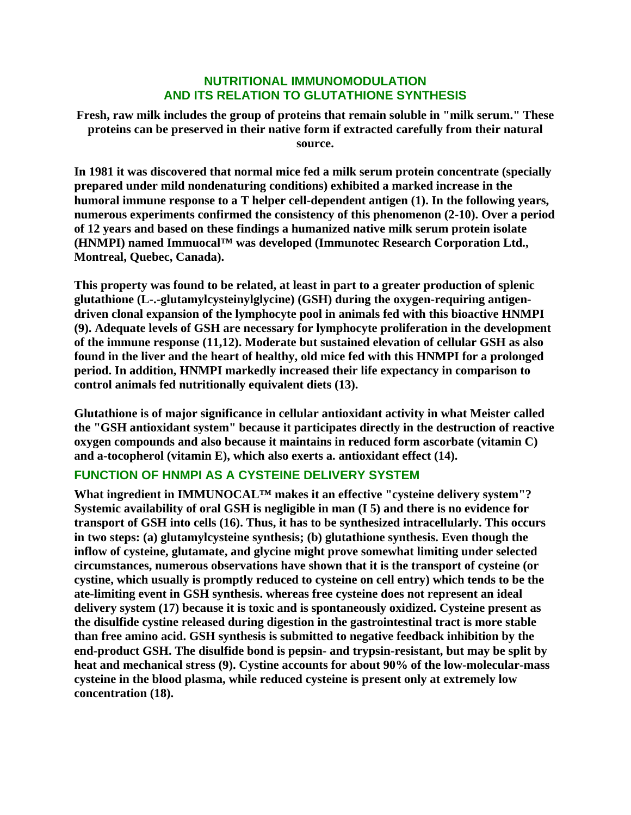## **NUTRITIONAL IMMUNOMODULATION AND ITS RELATION TO GLUTATHIONE SYNTHESIS**

**Fresh, raw milk includes the group of proteins that remain soluble in "milk serum." These proteins can be preserved in their native form if extracted carefully from their natural source.** 

**In 1981 it was discovered that normal mice fed a milk serum protein concentrate (specially prepared under mild nondenaturing conditions) exhibited a marked increase in the humoral immune response to a T helper cell-dependent antigen (1). In the following years, numerous experiments confirmed the consistency of this phenomenon (2-10). Over a period of 12 years and based on these findings a humanized native milk serum protein isolate (HNMPI) named Immuocal™ was developed (Immunotec Research Corporation Ltd., Montreal, Quebec, Canada).**

**This property was found to be related, at least in part to a greater production of splenic glutathione (L-.-glutamylcysteinylglycine) (GSH) during the oxygen-requiring antigendriven clonal expansion of the lymphocyte pool in animals fed with this bioactive HNMPI (9). Adequate levels of GSH are necessary for lymphocyte proliferation in the development of the immune response (11,12). Moderate but sustained elevation of cellular GSH as also found in the liver and the heart of healthy, old mice fed with this HNMPI for a prolonged period. In addition, HNMPI markedly increased their life expectancy in comparison to control animals fed nutritionally equivalent diets (13).**

**Glutathione is of major significance in cellular antioxidant activity in what Meister called the "GSH antioxidant system" because it participates directly in the destruction of reactive oxygen compounds and also because it maintains in reduced form ascorbate (vitamin C) and a-tocopherol (vitamin E), which also exerts a. antioxidant effect (14).**

# **FUNCTION OF HNMPI AS A CYSTEINE DELIVERY SYSTEM**

**What ingredient in IMMUNOCAL™ makes it an effective "cysteine delivery system"? Systemic availability of oral GSH is negligible in man (I 5) and there is no evidence for transport of GSH into cells (16). Thus, it has to be synthesized intracellularly. This occurs in two steps: (a) glutamylcysteine synthesis; (b) glutathione synthesis. Even though the inflow of cysteine, glutamate, and glycine might prove somewhat limiting under selected circumstances, numerous observations have shown that it is the transport of cysteine (or cystine, which usually is promptly reduced to cysteine on cell entry) which tends to be the ate-limiting event in GSH synthesis. whereas free cysteine does not represent an ideal delivery system (17) because it is toxic and is spontaneously oxidized. Cysteine present as the disulfide cystine released during digestion in the gastrointestinal tract is more stable than free amino acid. GSH synthesis is submitted to negative feedback inhibition by the end-product GSH. The disulfide bond is pepsin- and trypsin-resistant, but may be split by heat and mechanical stress (9). Cystine accounts for about 90% of the low-molecular-mass cysteine in the blood plasma, while reduced cysteine is present only at extremely low concentration (18).**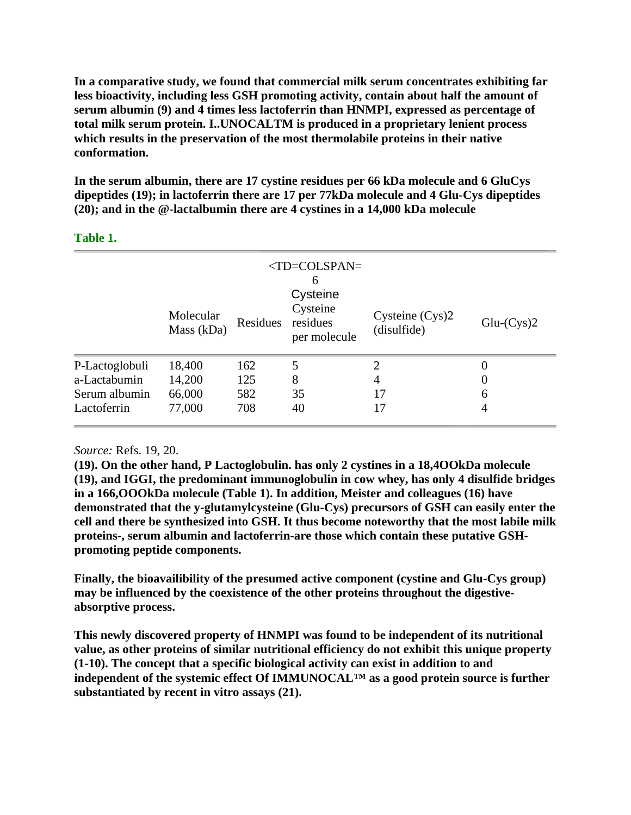**In a comparative study, we found that commercial milk serum concentrates exhibiting far less bioactivity, including less GSH promoting activity, contain about half the amount of serum albumin (9) and 4 times less lactoferrin than HNMPI, expressed as percentage of total milk serum protein. I..UNOCALTM is produced in a proprietary lenient process which results in the preservation of the most thermolabile proteins in their native conformation.**

**In the serum albumin, there are 17 cystine residues per 66 kDa molecule and 6 GluCys dipeptides (19); in lactoferrin there are 17 per 77kDa molecule and 4 Glu-Cys dipeptides (20); and in the @-lactalbumin there are 4 cystines in a 14,000 kDa molecule**

|                | Molecular<br>Mass (kDa) | Residues | $<$ TD=COLSPAN=<br>6<br>Cysteine<br>Cysteine<br>residues<br>per molecule | Cysteine (Cys)2<br>(disulfide) | $Glu-Cys)2$ |
|----------------|-------------------------|----------|--------------------------------------------------------------------------|--------------------------------|-------------|
| P-Lactoglobuli | 18,400                  | 162      | 5                                                                        | 2                              | 0           |
| a-Lactabumin   | 14,200                  | 125      | 8                                                                        | $\overline{4}$                 | 0           |
| Serum albumin  | 66,000                  | 582      | 35                                                                       | 17                             | 6           |
| Lactoferrin    | 77,000                  | 708      | 40                                                                       | 17                             | 4           |

#### **Table 1.**

# *Source:* Refs. 19, 20.

**(19). On the other hand, P Lactoglobulin. has only 2 cystines in a 18,4OOkDa molecule (19), and IGGI, the predominant immunoglobulin in cow whey, has only 4 disulfide bridges in a 166,OOOkDa molecule (Table 1). In addition, Meister and colleagues (16) have demonstrated that the y-glutamylcysteine (Glu-Cys) precursors of GSH can easily enter the cell and there be synthesized into GSH. It thus become noteworthy that the most labile milk proteins-, serum albumin and lactoferrin-are those which contain these putative GSHpromoting peptide components.**

**Finally, the bioavailibility of the presumed active component (cystine and Glu-Cys group) may be influenced by the coexistence of the other proteins throughout the digestiveabsorptive process.**

**This newly discovered property of HNMPI was found to be independent of its nutritional value, as other proteins of similar nutritional efficiency do not exhibit this unique property (1-10). The concept that a specific biological activity can exist in addition to and independent of the systemic effect Of IMMUNOCAL™ as a good protein source is further substantiated by recent in vitro assays (21).**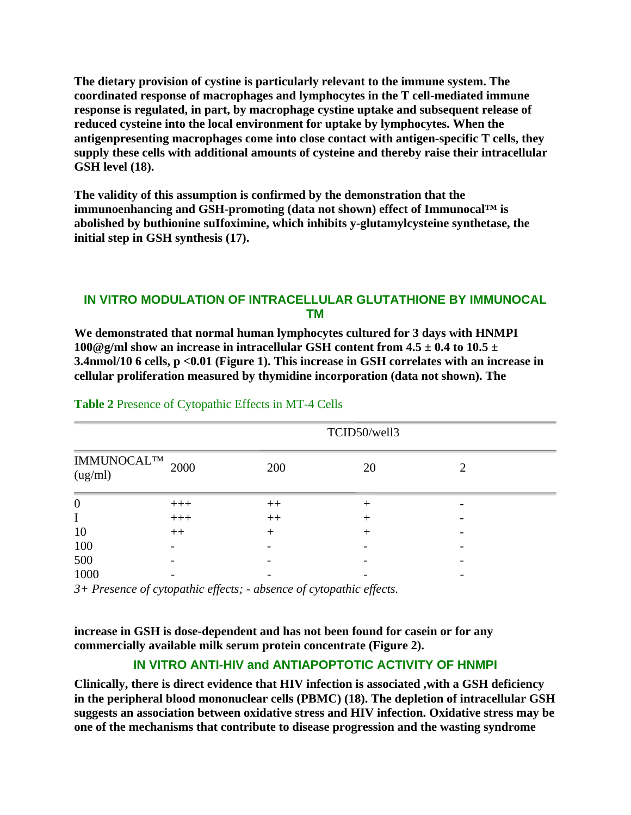**The dietary provision of cystine is particularly relevant to the immune system. The coordinated response of macrophages and lymphocytes in the T cell-mediated immune response is regulated, in part, by macrophage cystine uptake and subsequent release of reduced cysteine into the local environment for uptake by lymphocytes. When the antigenpresenting macrophages come into close contact with antigen-specific T cells, they supply these cells with additional amounts of cysteine and thereby raise their intracellular GSH level (18).** 

**The validity of this assumption is confirmed by the demonstration that the immunoenhancing and GSH-promoting (data not shown) effect of Immunocal™ is abolished by buthionine suIfoximine, which inhibits y-glutamylcysteine synthetase, the initial step in GSH synthesis (17).**

# **IN VITRO MODULATION OF INTRACELLULAR GLUTATHIONE BY IMMUNOCAL TM**

**We demonstrated that normal human lymphocytes cultured for 3 days with HNMPI 100@g/ml show an increase in intracellular GSH content from**  $4.5 \pm 0.4$  **to**  $10.5 \pm 10$ **3.4nmol/10 6 cells, p <0.01 (Figure 1). This increase in GSH correlates with an increase in cellular proliferation measured by thymidine incorporation (data not shown). The** 

|                               |       | TCID50/well3 |    |  |  |
|-------------------------------|-------|--------------|----|--|--|
| <b>IMMUNOCALTM</b><br>(ug/ml) | 2000  | 200          | 20 |  |  |
| $\boldsymbol{0}$              | $+++$ | $++$         |    |  |  |
|                               | $+++$ | $++$         |    |  |  |
| 10                            | $++$  | $^{+}$       |    |  |  |
| 100                           |       |              |    |  |  |
| 500                           |       |              |    |  |  |
| 1000                          |       |              |    |  |  |

#### **Table 2** Presence of Cytopathic Effects in MT-4 Cells

*3+ Presence of cytopathic effects; - absence of cytopathic effects.*

**increase in GSH is dose-dependent and has not been found for casein or for any commercially available milk serum protein concentrate (Figure 2).**

# **IN VITRO ANTI-HIV and ANTIAPOPTOTIC ACTIVITY OF HNMPI**

**Clinically, there is direct evidence that HIV infection is associated ,with a GSH deficiency in the peripheral blood mononuclear cells (PBMC) (18). The depletion of intracellular GSH suggests an association between oxidative stress and HIV infection. Oxidative stress may be one of the mechanisms that contribute to disease progression and the wasting syndrome**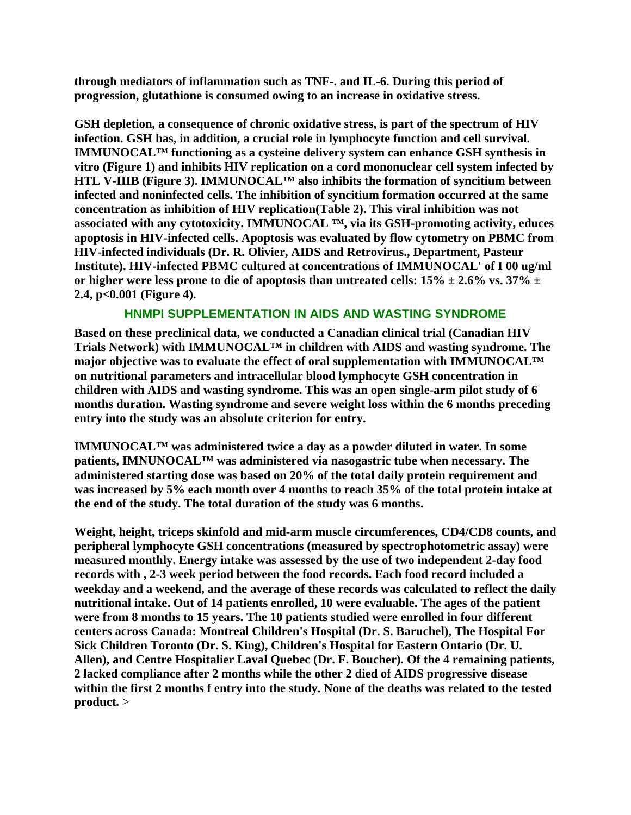**through mediators of inflammation such as TNF-. and IL-6. During this period of progression, glutathione is consumed owing to an increase in oxidative stress.**

**GSH depletion, a consequence of chronic oxidative stress, is part of the spectrum of HIV infection. GSH has, in addition, a crucial role in lymphocyte function and cell survival. IMMUNOCAL™ functioning as a cysteine delivery system can enhance GSH synthesis in vitro (Figure 1) and inhibits HIV replication on a cord mononuclear cell system infected by HTL V-IIIB (Figure 3). IMMUNOCAL™ also inhibits the formation of syncitium between infected and noninfected cells. The inhibition of syncitium formation occurred at the same concentration as inhibition of HIV replication(Table 2). This viral inhibition was not associated with any cytotoxicity. IMMUNOCAL ™, via its GSH-promoting activity, educes apoptosis in HIV-infected cells. Apoptosis was evaluated by flow cytometry on PBMC from HIV-infected individuals (Dr. R. Olivier, AIDS and Retrovirus., Department, Pasteur Institute). HIV-infected PBMC cultured at concentrations of IMMUNOCAL' of I 00 ug/ml**  or higher were less prone to die of apoptosis than untreated cells:  $15\% \pm 2.6\%$  vs.  $37\% \pm 2.6\%$ **2.4, p<0.001 (Figure 4).**

# **HNMPI SUPPLEMENTATION IN AIDS AND WASTING SYNDROME**

**Based on these preclinical data, we conducted a Canadian clinical trial (Canadian HIV Trials Network) with IMMUNOCAL™ in children with AIDS and wasting syndrome. The major objective was to evaluate the effect of oral supplementation with IMMUNOCAL™ on nutritional parameters and intracellular blood lymphocyte GSH concentration in children with AIDS and wasting syndrome. This was an open single-arm pilot study of 6 months duration. Wasting syndrome and severe weight loss within the 6 months preceding entry into the study was an absolute criterion for entry.** 

**IMMUNOCAL™ was administered twice a day as a powder diluted in water. In some patients, IMNUNOCAL™ was administered via nasogastric tube when necessary. The administered starting dose was based on 20% of the total daily protein requirement and was increased by 5% each month over 4 months to reach 35% of the total protein intake at the end of the study. The total duration of the study was 6 months.**

**Weight, height, triceps skinfold and mid-arm muscle circumferences, CD4/CD8 counts, and peripheral lymphocyte GSH concentrations (measured by spectrophotometric assay) were measured monthly. Energy intake was assessed by the use of two independent 2-day food records with , 2-3 week period between the food records. Each food record included a weekday and a weekend, and the average of these records was calculated to reflect the daily nutritional intake. Out of 14 patients enrolled, 10 were evaluable. The ages of the patient were from 8 months to 15 years. The 10 patients studied were enrolled in four different centers across Canada: Montreal Children's Hospital (Dr. S. Baruchel), The Hospital For Sick Children Toronto (Dr. S. King), Children's Hospital for Eastern Ontario (Dr. U. Allen), and Centre Hospitalier Laval Quebec (Dr. F. Boucher). Of the 4 remaining patients, 2 lacked compliance after 2 months while the other 2 died of AIDS progressive disease within the first 2 months f entry into the study. None of the deaths was related to the tested product.** >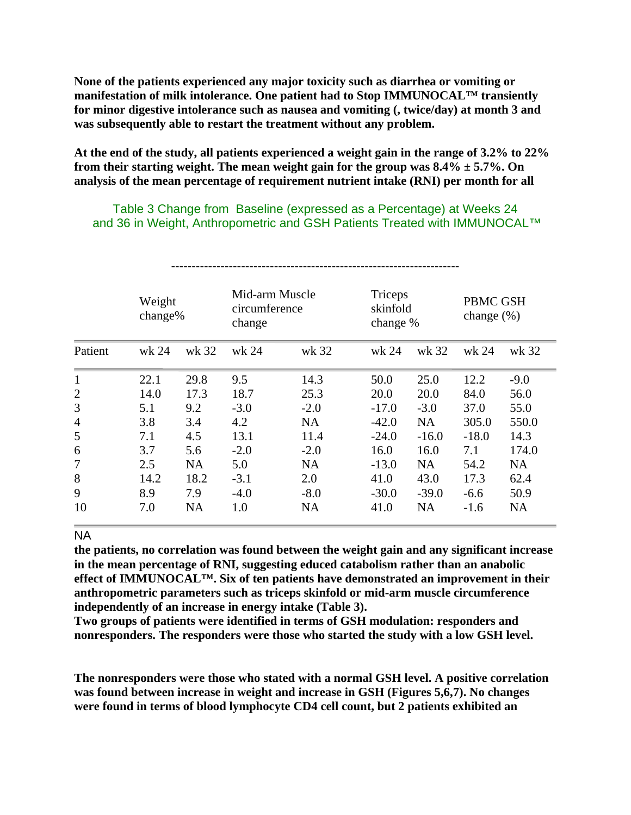**None of the patients experienced any major toxicity such as diarrhea or vomiting or manifestation of milk intolerance. One patient had to Stop IMMUNOCAL™ transiently for minor digestive intolerance such as nausea and vomiting (, twice/day) at month 3 and was subsequently able to restart the treatment without any problem.**

**At the end of the study, all patients experienced a weight gain in the range of 3.2% to 22% from their starting weight. The mean weight gain for the group was 8.4% ± 5.7%. On analysis of the mean percentage of requirement nutrient intake (RNI) per month for all**

Table 3 Change from Baseline (expressed as a Percentage) at Weeks 24 and 36 in Weight, Anthropometric and GSH Patients Treated with IMMUNOCAL™

|                | Weight<br>change% |       | Mid-arm Muscle<br>circumference<br>change |           | Triceps<br>skinfold<br>change % |           | PBMC GSH<br>change $(\%)$ |           |
|----------------|-------------------|-------|-------------------------------------------|-----------|---------------------------------|-----------|---------------------------|-----------|
| Patient        | wk 24             | wk 32 | wk 24                                     | wk 32     | wk 24                           | wk 32     | wk 24                     | wk 32     |
| $\mathbf{1}$   | 22.1              | 29.8  | 9.5                                       | 14.3      | 50.0                            | 25.0      | 12.2                      | $-9.0$    |
| $\overline{2}$ | 14.0              | 17.3  | 18.7                                      | 25.3      | 20.0                            | 20.0      | 84.0                      | 56.0      |
| 3              | 5.1               | 9.2   | $-3.0$                                    | $-2.0$    | $-17.0$                         | $-3.0$    | 37.0                      | 55.0      |
| $\overline{4}$ | 3.8               | 3.4   | 4.2                                       | <b>NA</b> | $-42.0$                         | <b>NA</b> | 305.0                     | 550.0     |
| 5              | 7.1               | 4.5   | 13.1                                      | 11.4      | $-24.0$                         | $-16.0$   | $-18.0$                   | 14.3      |
| 6              | 3.7               | 5.6   | $-2.0$                                    | $-2.0$    | 16.0                            | 16.0      | 7.1                       | 174.0     |
| 7              | 2.5               | NA    | 5.0                                       | <b>NA</b> | $-13.0$                         | <b>NA</b> | 54.2                      | <b>NA</b> |
| 8              | 14.2              | 18.2  | $-3.1$                                    | 2.0       | 41.0                            | 43.0      | 17.3                      | 62.4      |
| 9              | 8.9               | 7.9   | $-4.0$                                    | $-8.0$    | $-30.0$                         | $-39.0$   | $-6.6$                    | 50.9      |
| 10             | 7.0               | NA    | 1.0                                       | <b>NA</b> | 41.0                            | <b>NA</b> | $-1.6$                    | NA        |

#### NA

**the patients, no correlation was found between the weight gain and any significant increase in the mean percentage of RNI, suggesting educed catabolism rather than an anabolic effect of IMMUNOCAL™. Six of ten patients have demonstrated an improvement in their anthropometric parameters such as triceps skinfold or mid-arm muscle circumference independently of an increase in energy intake (Table 3).**

**Two groups of patients were identified in terms of GSH modulation: responders and nonresponders. The responders were those who started the study with a low GSH level.**

**The nonresponders were those who stated with a normal GSH level. A positive correlation was found between increase in weight and increase in GSH (Figures 5,6,7). No changes were found in terms of blood lymphocyte CD4 cell count, but 2 patients exhibited an**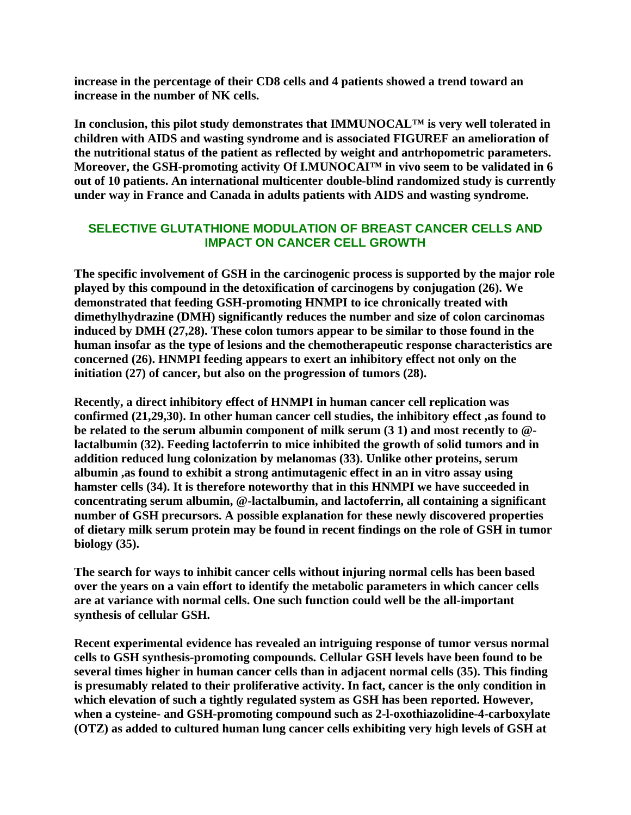**increase in the percentage of their CD8 cells and 4 patients showed a trend toward an increase in the number of NK cells.**

**In conclusion, this pilot study demonstrates that IMMUNOCAL™ is very well tolerated in children with AIDS and wasting syndrome and is associated FIGUREF an amelioration of the nutritional status of the patient as reflected by weight and antrhopometric parameters. Moreover, the GSH-promoting activity Of I.MUNOCAI™ in vivo seem to be validated in 6 out of 10 patients. An international multicenter double-blind randomized study is currently under way in France and Canada in adults patients with AIDS and wasting syndrome.**

# **SELECTIVE GLUTATHIONE MODULATION OF BREAST CANCER CELLS AND IMPACT ON CANCER CELL GROWTH**

**The specific involvement of GSH in the carcinogenic process is supported by the major role played by this compound in the detoxification of carcinogens by conjugation (26). We demonstrated that feeding GSH-promoting HNMPI to ice chronically treated with dimethylhydrazine (DMH) significantly reduces the number and size of colon carcinomas induced by DMH (27,28). These colon tumors appear to be similar to those found in the human insofar as the type of lesions and the chemotherapeutic response characteristics are concerned (26). HNMPI feeding appears to exert an inhibitory effect not only on the initiation (27) of cancer, but also on the progression of tumors (28).** 

**Recently, a direct inhibitory effect of HNMPI in human cancer cell replication was confirmed (21,29,30). In other human cancer cell studies, the inhibitory effect ,as found to be related to the serum albumin component of milk serum (3 1) and most recently to @ lactalbumin (32). Feeding lactoferrin to mice inhibited the growth of solid tumors and in addition reduced lung colonization by melanomas (33). Unlike other proteins, serum albumin ,as found to exhibit a strong antimutagenic effect in an in vitro assay using hamster cells (34). It is therefore noteworthy that in this HNMPI we have succeeded in concentrating serum albumin, @-lactalbumin, and lactoferrin, all containing a significant number of GSH precursors. A possible explanation for these newly discovered properties of dietary milk serum protein may be found in recent findings on the role of GSH in tumor biology (35).**

**The search for ways to inhibit cancer cells without injuring normal cells has been based over the years on a vain effort to identify the metabolic parameters in which cancer cells are at variance with normal cells. One such function could well be the all-important synthesis of cellular GSH.**

**Recent experimental evidence has revealed an intriguing response of tumor versus normal cells to GSH synthesis-promoting compounds. Cellular GSH levels have been found to be several times higher in human cancer cells than in adjacent normal cells (35). This finding is presumably related to their proliferative activity. In fact, cancer is the only condition in which elevation of such a tightly regulated system as GSH has been reported. However, when a cysteine- and GSH-promoting compound such as 2-l-oxothiazolidine-4-carboxylate (OTZ) as added to cultured human lung cancer cells exhibiting very high levels of GSH at**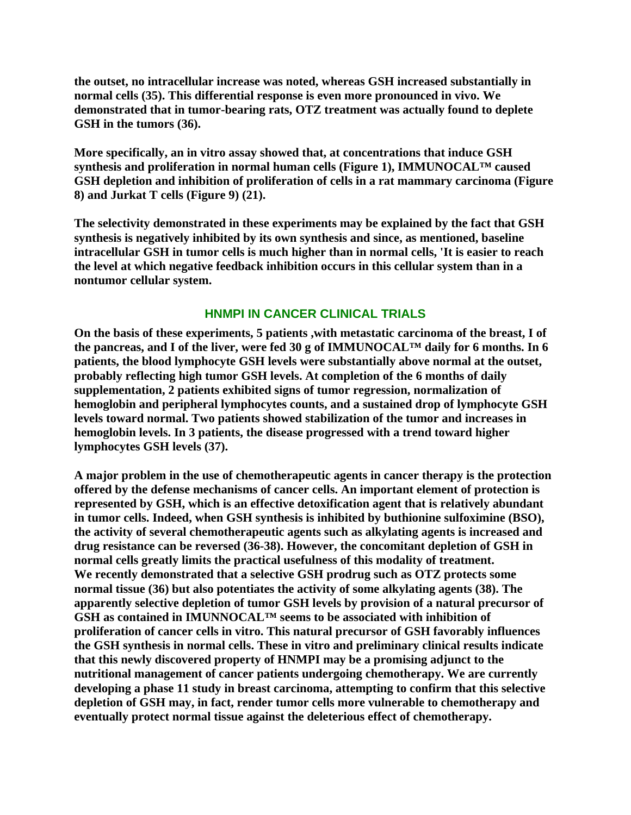**the outset, no intracellular increase was noted, whereas GSH increased substantially in normal cells (35). This differential response is even more pronounced in vivo. We demonstrated that in tumor-bearing rats, OTZ treatment was actually found to deplete GSH in the tumors (36).**

**More specifically, an in vitro assay showed that, at concentrations that induce GSH synthesis and proliferation in normal human cells (Figure 1), IMMUNOCAL™ caused GSH depletion and inhibition of proliferation of cells in a rat mammary carcinoma (Figure 8) and Jurkat T cells (Figure 9) (21).**

**The selectivity demonstrated in these experiments may be explained by the fact that GSH synthesis is negatively inhibited by its own synthesis and since, as mentioned, baseline intracellular GSH in tumor cells is much higher than in normal cells, 'It is easier to reach the level at which negative feedback inhibition occurs in this cellular system than in a nontumor cellular system.**

# **HNMPI IN CANCER CLINICAL TRIALS**

**On the basis of these experiments, 5 patients ,with metastatic carcinoma of the breast, I of the pancreas, and I of the liver, were fed 30 g of IMMUNOCAL™ daily for 6 months. In 6 patients, the blood lymphocyte GSH levels were substantially above normal at the outset, probably reflecting high tumor GSH levels. At completion of the 6 months of daily supplementation, 2 patients exhibited signs of tumor regression, normalization of hemoglobin and peripheral lymphocytes counts, and a sustained drop of lymphocyte GSH levels toward normal. Two patients showed stabilization of the tumor and increases in hemoglobin levels. In 3 patients, the disease progressed with a trend toward higher lymphocytes GSH levels (37).**

**A major problem in the use of chemotherapeutic agents in cancer therapy is the protection offered by the defense mechanisms of cancer cells. An important element of protection is represented by GSH, which is an effective detoxification agent that is relatively abundant in tumor cells. Indeed, when GSH synthesis is inhibited by buthionine sulfoximine (BSO), the activity of several chemotherapeutic agents such as alkylating agents is increased and drug resistance can be reversed (36-38). However, the concomitant depletion of GSH in normal cells greatly limits the practical usefulness of this modality of treatment. We recently demonstrated that a selective GSH prodrug such as OTZ protects some normal tissue (36) but also potentiates the activity of some alkylating agents (38). The apparently selective depletion of tumor GSH levels by provision of a natural precursor of GSH as contained in IMUNNOCAL™ seems to be associated with inhibition of proliferation of cancer cells in vitro. This natural precursor of GSH favorably influences the GSH synthesis in normal cells. These in vitro and preliminary clinical results indicate that this newly discovered property of HNMPI may be a promising adjunct to the nutritional management of cancer patients undergoing chemotherapy. We are currently developing a phase 11 study in breast carcinoma, attempting to confirm that this selective depletion of GSH may, in fact, render tumor cells more vulnerable to chemotherapy and eventually protect normal tissue against the deleterious effect of chemotherapy.**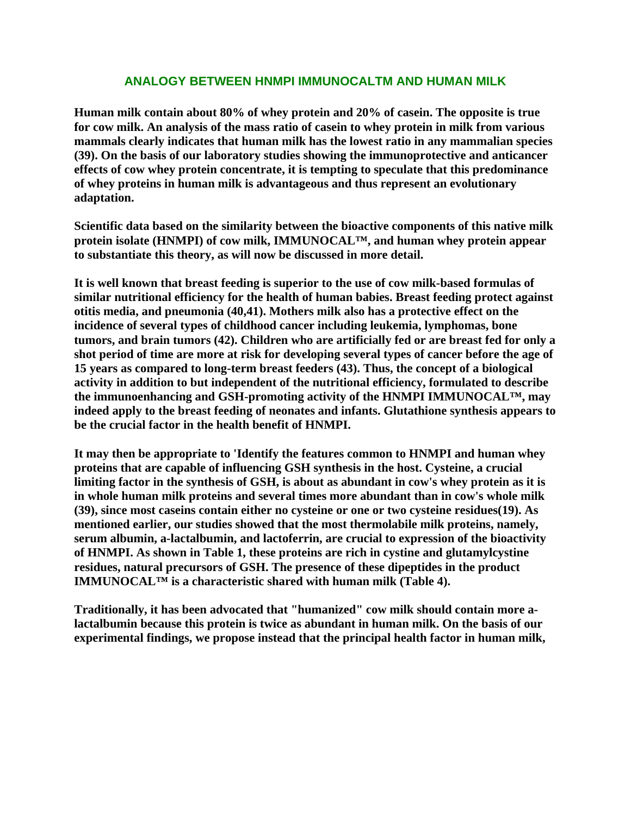## **ANALOGY BETWEEN HNMPI IMMUNOCALTM AND HUMAN MILK**

**Human milk contain about 80% of whey protein and 20% of casein. The opposite is true for cow milk. An analysis of the mass ratio of casein to whey protein in milk from various mammals clearly indicates that human milk has the lowest ratio in any mammalian species (39). On the basis of our laboratory studies showing the immunoprotective and anticancer effects of cow whey protein concentrate, it is tempting to speculate that this predominance of whey proteins in human milk is advantageous and thus represent an evolutionary adaptation.** 

**Scientific data based on the similarity between the bioactive components of this native milk protein isolate (HNMPI) of cow milk, IMMUNOCAL™, and human whey protein appear to substantiate this theory, as will now be discussed in more detail.**

**It is well known that breast feeding is superior to the use of cow milk-based formulas of similar nutritional efficiency for the health of human babies. Breast feeding protect against otitis media, and pneumonia (40,41). Mothers milk also has a protective effect on the incidence of several types of childhood cancer including leukemia, lymphomas, bone tumors, and brain tumors (42). Children who are artificially fed or are breast fed for only a shot period of time are more at risk for developing several types of cancer before the age of 15 years as compared to long-term breast feeders (43). Thus, the concept of a biological activity in addition to but independent of the nutritional efficiency, formulated to describe the immunoenhancing and GSH-promoting activity of the HNMPI IMMUNOCAL™, may indeed apply to the breast feeding of neonates and infants. Glutathione synthesis appears to be the crucial factor in the health benefit of HNMPI.**

**It may then be appropriate to 'Identify the features common to HNMPI and human whey proteins that are capable of influencing GSH synthesis in the host. Cysteine, a crucial limiting factor in the synthesis of GSH, is about as abundant in cow's whey protein as it is in whole human milk proteins and several times more abundant than in cow's whole milk (39), since most caseins contain either no cysteine or one or two cysteine residues(19). As mentioned earlier, our studies showed that the most thermolabile milk proteins, namely, serum albumin, a-lactalbumin, and lactoferrin, are crucial to expression of the bioactivity of HNMPI. As shown in Table 1, these proteins are rich in cystine and glutamylcystine residues, natural precursors of GSH. The presence of these dipeptides in the product IMMUNOCAL™ is a characteristic shared with human milk (Table 4).**

**Traditionally, it has been advocated that "humanized" cow milk should contain more alactalbumin because this protein is twice as abundant in human milk. On the basis of our experimental findings, we propose instead that the principal health factor in human milk,**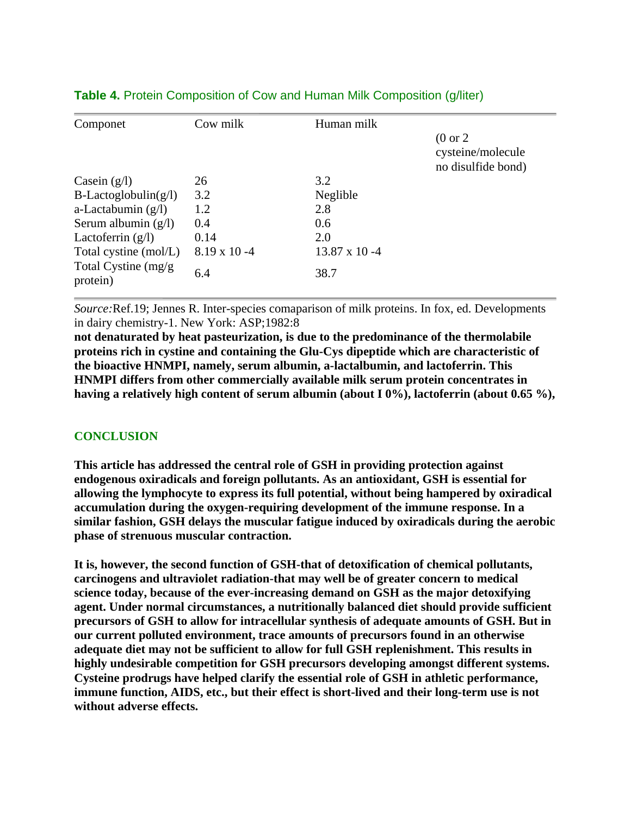| Componet                         | Cow milk             | Human milk            |                                                                |
|----------------------------------|----------------------|-----------------------|----------------------------------------------------------------|
|                                  |                      |                       | $(0 \text{ or } 2)$<br>cysteine/molecule<br>no disulfide bond) |
| Casein $(g/l)$                   | 26                   | 3.2                   |                                                                |
| $B$ -Lactoglobulin(g/l)          | 3.2                  | Neglible              |                                                                |
| a-Lactabumin $(g/l)$             | 1.2                  | 2.8                   |                                                                |
| Serum albumin $(g/l)$            | 0.4                  | 0.6                   |                                                                |
| Lactoferrin $(g/l)$              | 0.14                 | 2.0                   |                                                                |
| Total cystine (mol/L)            | $8.19 \times 10 - 4$ | $13.87 \times 10 - 4$ |                                                                |
| Total Cystine (mg/g)<br>protein) | 6.4                  | 38.7                  |                                                                |

# **Table 4.** Protein Composition of Cow and Human Milk Composition (g/liter)

*Source:*Ref.19; Jennes R. Inter-species comaparison of milk proteins. In fox, ed. Developments in dairy chemistry-1. New York: ASP;1982:8

**not denaturated by heat pasteurization, is due to the predominance of the thermolabile proteins rich in cystine and containing the Glu-Cys dipeptide which are characteristic of the bioactive HNMPI, namely, serum albumin, a-lactalbumin, and lactoferrin. This HNMPI differs from other commercially available milk serum protein concentrates in having a relatively high content of serum albumin (about I 0%), lactoferrin (about 0.65 %),**

# **CONCLUSION**

**This article has addressed the central role of GSH in providing protection against endogenous oxiradicals and foreign pollutants. As an antioxidant, GSH is essential for allowing the lymphocyte to express its full potential, without being hampered by oxiradical accumulation during the oxygen-requiring development of the immune response. In a similar fashion, GSH delays the muscular fatigue induced by oxiradicals during the aerobic phase of strenuous muscular contraction.** 

**It is, however, the second function of GSH-that of detoxification of chemical pollutants, carcinogens and ultraviolet radiation-that may well be of greater concern to medical science today, because of the ever-increasing demand on GSH as the major detoxifying agent. Under normal circumstances, a nutritionally balanced diet should provide sufficient precursors of GSH to allow for intracellular synthesis of adequate amounts of GSH. But in our current polluted environment, trace amounts of precursors found in an otherwise adequate diet may not be sufficient to allow for full GSH replenishment. This results in highly undesirable competition for GSH precursors developing amongst different systems. Cysteine prodrugs have helped clarify the essential role of GSH in athletic performance, immune function, AIDS, etc., but their effect is short-lived and their long-term use is not without adverse effects.**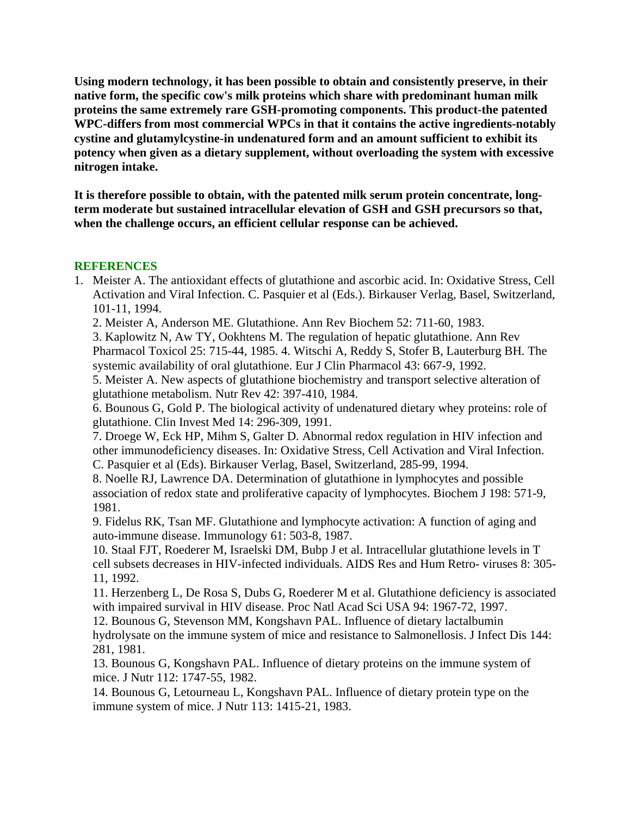**Using modern technology, it has been possible to obtain and consistently preserve, in their native form, the specific cow's milk proteins which share with predominant human milk proteins the same extremely rare GSH-promoting components. This product-the patented WPC-differs from most commercial WPCs in that it contains the active ingredients-notably cystine and glutamylcystine-in undenatured form and an amount sufficient to exhibit its potency when given as a dietary supplement, without overloading the system with excessive nitrogen intake.** 

**It is therefore possible to obtain, with the patented milk serum protein concentrate, longterm moderate but sustained intracellular elevation of GSH and GSH precursors so that, when the challenge occurs, an efficient cellular response can be achieved.**

## **REFERENCES**

1. Meister A. The antioxidant effects of glutathione and ascorbic acid. In: Oxidative Stress, Cell Activation and Viral Infection. C. Pasquier et al (Eds.). Birkauser Verlag, Basel, Switzerland, 101-11, 1994.

2. Meister A, Anderson ME. Glutathione. Ann Rev Biochem 52: 711-60, 1983.

3. Kaplowitz N, Aw TY, Ookhtens M. The regulation of hepatic glutathione. Ann Rev Pharmacol Toxicol 25: 715-44, 1985. 4. Witschi A, Reddy S, Stofer B, Lauterburg BH. The systemic availability of oral glutathione. Eur J Clin Pharmacol 43: 667-9, 1992.

5. Meister A. New aspects of glutathione biochemistry and transport selective alteration of glutathione metabolism. Nutr Rev 42: 397-410, 1984.

6. Bounous G, Gold P. The biological activity of undenatured dietary whey proteins: role of glutathione. Clin Invest Med 14: 296-309, 1991.

7. Droege W, Eck HP, Mihm S, Galter D. Abnormal redox regulation in HIV infection and other immunodeficiency diseases. In: Oxidative Stress, Cell Activation and Viral Infection. C. Pasquier et al (Eds). Birkauser Verlag, Basel, Switzerland, 285-99, 1994.

8. Noelle RJ, Lawrence DA. Determination of glutathione in lymphocytes and possible association of redox state and proliferative capacity of lymphocytes. Biochem J 198: 571-9, 1981.

9. Fidelus RK, Tsan MF. Glutathione and lymphocyte activation: A function of aging and auto-immune disease. Immunology 61: 503-8, 1987.

10. Staal FJT, Roederer M, Israelski DM, Bubp J et al. Intracellular glutathione levels in T cell subsets decreases in HIV-infected individuals. AIDS Res and Hum Retro- viruses 8: 305- 11, 1992.

11. Herzenberg L, De Rosa S, Dubs G, Roederer M et al. Glutathione deficiency is associated with impaired survival in HIV disease. Proc Natl Acad Sci USA 94: 1967-72, 1997.

12. Bounous G, Stevenson MM, Kongshavn PAL. Influence of dietary lactalbumin hydrolysate on the immune system of mice and resistance to Salmonellosis. J Infect Dis 144: 281, 1981.

13. Bounous G, Kongshavn PAL. Influence of dietary proteins on the immune system of mice. J Nutr 112: 1747-55, 1982.

14. Bounous G, Letourneau L, Kongshavn PAL. Influence of dietary protein type on the immune system of mice. J Nutr 113: 1415-21, 1983.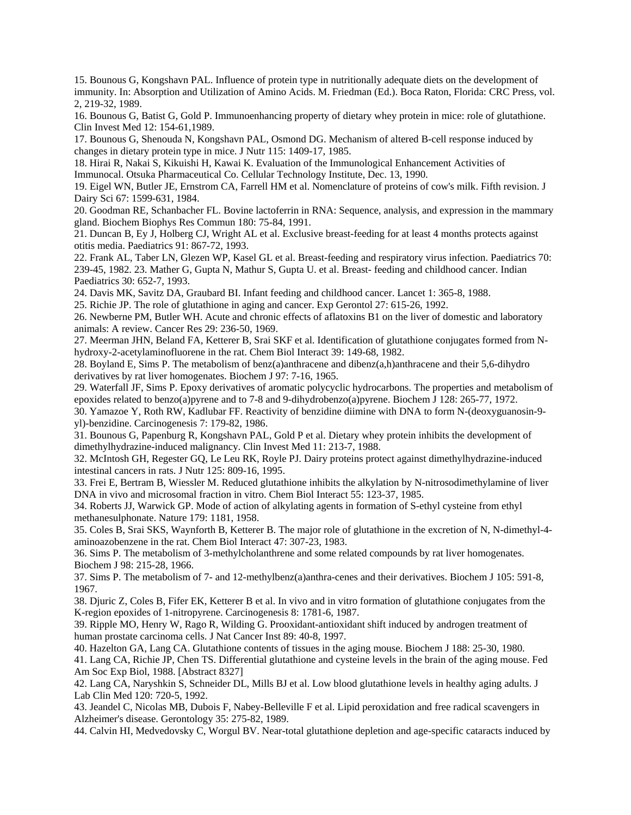15. Bounous G, Kongshavn PAL. Influence of protein type in nutritionally adequate diets on the development of immunity. In: Absorption and Utilization of Amino Acids. M. Friedman (Ed.). Boca Raton, Florida: CRC Press, vol. 2, 219-32, 1989.

16. Bounous G, Batist G, Gold P. Immunoenhancing property of dietary whey protein in mice: role of glutathione. Clin Invest Med 12: 154-61,1989.

17. Bounous G, Shenouda N, Kongshavn PAL, Osmond DG. Mechanism of altered B-cell response induced by changes in dietary protein type in mice. J Nutr 115: 1409-17, 1985.

18. Hirai R, Nakai S, Kikuishi H, Kawai K. Evaluation of the Immunological Enhancement Activities of Immunocal. Otsuka Pharmaceutical Co. Cellular Technology Institute, Dec. 13, 1990.

19. Eigel WN, Butler JE, Ernstrom CA, Farrell HM et al. Nomenclature of proteins of cow's milk. Fifth revision. J Dairy Sci 67: 1599-631, 1984.

20. Goodman RE, Schanbacher FL. Bovine lactoferrin in RNA: Sequence, analysis, and expression in the mammary gland. Biochem Biophys Res Commun 180: 75-84, 1991.

21. Duncan B, Ey J, Holberg CJ, Wright AL et al. Exclusive breast-feeding for at least 4 months protects against otitis media. Paediatrics 91: 867-72, 1993.

22. Frank AL, Taber LN, Glezen WP, Kasel GL et al. Breast-feeding and respiratory virus infection. Paediatrics 70: 239-45, 1982. 23. Mather G, Gupta N, Mathur S, Gupta U. et al. Breast- feeding and childhood cancer. Indian Paediatrics 30: 652-7, 1993.

24. Davis MK, Savitz DA, Graubard BI. Infant feeding and childhood cancer. Lancet 1: 365-8, 1988.

25. Richie JP. The role of glutathione in aging and cancer. Exp Gerontol 27: 615-26, 1992.

26. Newberne PM, Butler WH. Acute and chronic effects of aflatoxins B1 on the liver of domestic and laboratory animals: A review. Cancer Res 29: 236-50, 1969.

27. Meerman JHN, Beland FA, Ketterer B, Srai SKF et al. Identification of glutathione conjugates formed from Nhydroxy-2-acetylaminofluorene in the rat. Chem Biol Interact 39: 149-68, 1982.

28. Boyland E, Sims P. The metabolism of benz(a)anthracene and dibenz(a,h)anthracene and their 5,6-dihydro derivatives by rat liver homogenates. Biochem J 97: 7-16, 1965.

29. Waterfall JF, Sims P. Epoxy derivatives of aromatic polycyclic hydrocarbons. The properties and metabolism of epoxides related to benzo(a)pyrene and to 7-8 and 9-dihydrobenzo(a)pyrene. Biochem J 128: 265-77, 1972.

30. Yamazoe Y, Roth RW, Kadlubar FF. Reactivity of benzidine diimine with DNA to form N-(deoxyguanosin-9 yl)-benzidine. Carcinogenesis 7: 179-82, 1986.

31. Bounous G, Papenburg R, Kongshavn PAL, Gold P et al. Dietary whey protein inhibits the development of dimethylhydrazine-induced malignancy. Clin Invest Med 11: 213-7, 1988.

32. McIntosh GH, Regester GQ, Le Leu RK, Royle PJ. Dairy proteins protect against dimethylhydrazine-induced intestinal cancers in rats. J Nutr 125: 809-16, 1995.

33. Frei E, Bertram B, Wiessler M. Reduced glutathione inhibits the alkylation by N-nitrosodimethylamine of liver DNA in vivo and microsomal fraction in vitro. Chem Biol Interact 55: 123-37, 1985.

34. Roberts JJ, Warwick GP. Mode of action of alkylating agents in formation of S-ethyl cysteine from ethyl methanesulphonate. Nature 179: 1181, 1958.

35. Coles B, Srai SKS, Waynforth B, Ketterer B. The major role of glutathione in the excretion of N, N-dimethyl-4 aminoazobenzene in the rat. Chem Biol Interact 47: 307-23, 1983.

36. Sims P. The metabolism of 3-methylcholanthrene and some related compounds by rat liver homogenates. Biochem J 98: 215-28, 1966.

37. Sims P. The metabolism of 7- and 12-methylbenz(a)anthra-cenes and their derivatives. Biochem J 105: 591-8, 1967.

38. Djuric Z, Coles B, Fifer EK, Ketterer B et al. In vivo and in vitro formation of glutathione conjugates from the K-region epoxides of 1-nitropyrene. Carcinogenesis 8: 1781-6, 1987.

39. Ripple MO, Henry W, Rago R, Wilding G. Prooxidant-antioxidant shift induced by androgen treatment of human prostate carcinoma cells. J Nat Cancer Inst 89: 40-8, 1997.

40. Hazelton GA, Lang CA. Glutathione contents of tissues in the aging mouse. Biochem J 188: 25-30, 1980.

41. Lang CA, Richie JP, Chen TS. Differential glutathione and cysteine levels in the brain of the aging mouse. Fed Am Soc Exp Biol, 1988. [Abstract 8327]

42. Lang CA, Naryshkin S, Schneider DL, Mills BJ et al. Low blood glutathione levels in healthy aging adults. J Lab Clin Med 120: 720-5, 1992.

43. Jeandel C, Nicolas MB, Dubois F, Nabey-Belleville F et al. Lipid peroxidation and free radical scavengers in Alzheimer's disease. Gerontology 35: 275-82, 1989.

44. Calvin HI, Medvedovsky C, Worgul BV. Near-total glutathione depletion and age-specific cataracts induced by